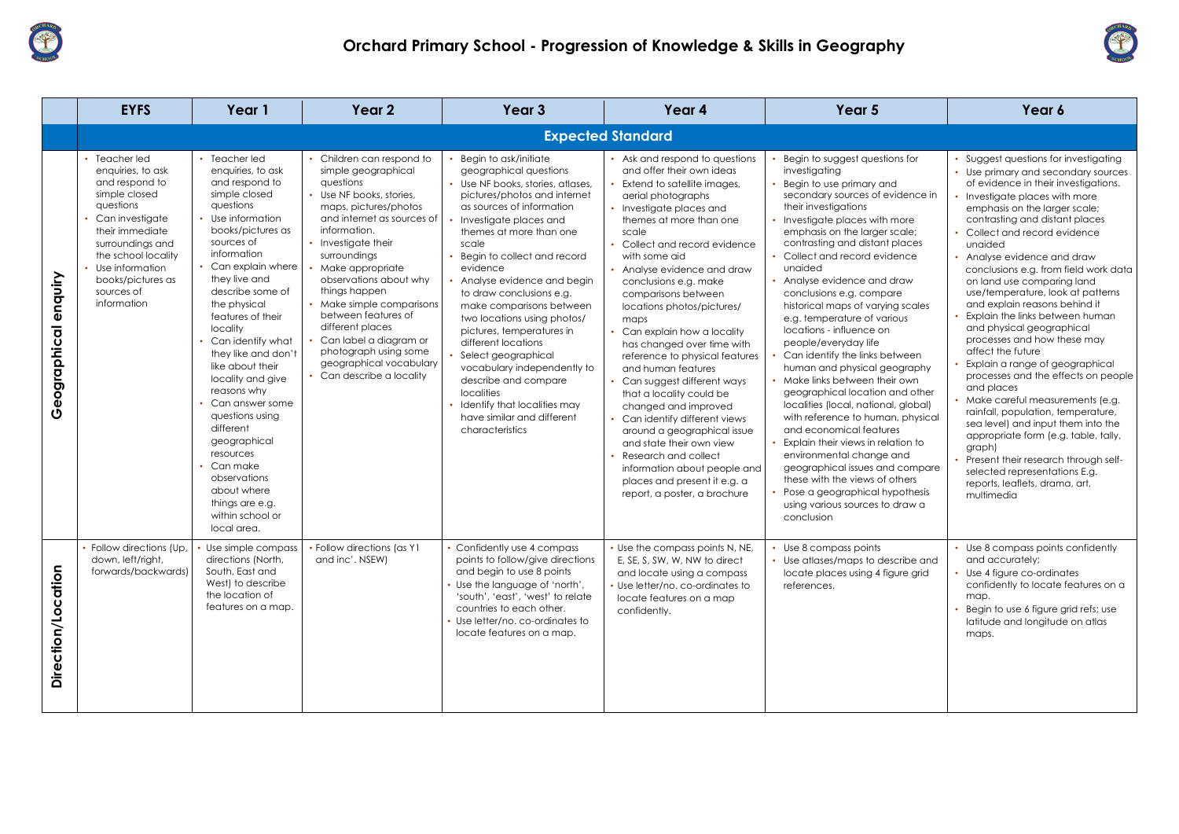

|                         | <b>EYFS</b>                                                                                                                                                                                                                              | Year 1                                                                                                                                                                                                                                                                                                                                                                                                                                                                                                                                                         | Year 2                                                                                                                                                                                                                                                                                                                                                                                                                                                | Year <sub>3</sub>                                                                                                                                                                                                                                                                                                                                                                                                                                                                                                                                                                                                | Year 4                                                                                                                                                                                                                                                                                                                                                                                                                                                                                                                                                                                                                                                                                                                                                                       | Year 5                                                                                                                                                                                                                                                                                                                                                                                                                                                                                                                                                                                                                                                                                                                                                                                                                                                                                                                                       | Year 6                                                                                                                                                                                                                                                                                                                                                                                                                                                                                                                                                                                                                                                                                        |  |  |
|-------------------------|------------------------------------------------------------------------------------------------------------------------------------------------------------------------------------------------------------------------------------------|----------------------------------------------------------------------------------------------------------------------------------------------------------------------------------------------------------------------------------------------------------------------------------------------------------------------------------------------------------------------------------------------------------------------------------------------------------------------------------------------------------------------------------------------------------------|-------------------------------------------------------------------------------------------------------------------------------------------------------------------------------------------------------------------------------------------------------------------------------------------------------------------------------------------------------------------------------------------------------------------------------------------------------|------------------------------------------------------------------------------------------------------------------------------------------------------------------------------------------------------------------------------------------------------------------------------------------------------------------------------------------------------------------------------------------------------------------------------------------------------------------------------------------------------------------------------------------------------------------------------------------------------------------|------------------------------------------------------------------------------------------------------------------------------------------------------------------------------------------------------------------------------------------------------------------------------------------------------------------------------------------------------------------------------------------------------------------------------------------------------------------------------------------------------------------------------------------------------------------------------------------------------------------------------------------------------------------------------------------------------------------------------------------------------------------------------|----------------------------------------------------------------------------------------------------------------------------------------------------------------------------------------------------------------------------------------------------------------------------------------------------------------------------------------------------------------------------------------------------------------------------------------------------------------------------------------------------------------------------------------------------------------------------------------------------------------------------------------------------------------------------------------------------------------------------------------------------------------------------------------------------------------------------------------------------------------------------------------------------------------------------------------------|-----------------------------------------------------------------------------------------------------------------------------------------------------------------------------------------------------------------------------------------------------------------------------------------------------------------------------------------------------------------------------------------------------------------------------------------------------------------------------------------------------------------------------------------------------------------------------------------------------------------------------------------------------------------------------------------------|--|--|
|                         |                                                                                                                                                                                                                                          | <b>Expected Standard</b>                                                                                                                                                                                                                                                                                                                                                                                                                                                                                                                                       |                                                                                                                                                                                                                                                                                                                                                                                                                                                       |                                                                                                                                                                                                                                                                                                                                                                                                                                                                                                                                                                                                                  |                                                                                                                                                                                                                                                                                                                                                                                                                                                                                                                                                                                                                                                                                                                                                                              |                                                                                                                                                                                                                                                                                                                                                                                                                                                                                                                                                                                                                                                                                                                                                                                                                                                                                                                                              |                                                                                                                                                                                                                                                                                                                                                                                                                                                                                                                                                                                                                                                                                               |  |  |
| enquiry<br>Geographical | • Teacher led<br>enquiries, to ask<br>and respond to<br>simple closed<br>questions<br>Can investigate<br>their immediate<br>surroundings and<br>the school locality<br>Use information<br>books/pictures as<br>sources of<br>information | • Teacher led<br>enquiries, to ask<br>and respond to<br>simple closed<br>questions<br>Use information<br>books/pictures as<br>sources of<br>information<br>Can explain where<br>they live and<br>describe some of<br>the physical<br>features of their<br><b>locality</b><br>Can identify what<br>they like and don't<br>like about their<br>locality and give<br>reasons why<br>Can answer some<br>questions using<br>different<br>geographical<br>resources<br>Can make<br>observations<br>about where<br>things are e.g.<br>within school or<br>local area. | Children can respond to<br>simple geographical<br>questions<br>• Use NF books, stories,<br>maps, pictures/photos<br>and internet as sources of<br>information.<br>• Investigate their<br>surroundings<br>Make appropriate<br>observations about why<br>things happen<br>• Make simple comparisons<br>between features of<br>different places<br>Can label a diagram or<br>photograph using some<br>geographical vocabulary<br>Can describe a locality | Begin to ask/initiate<br>geographical questions<br>• Use NF books, stories, atlases,<br>pictures/photos and internet<br>as sources of information<br>Investigate places and<br>themes at more than one<br>scale<br>Begin to collect and record<br>evidence<br>Analyse evidence and begin<br>to draw conclusions e.g.<br>make comparisons between<br>two locations using photos/<br>pictures, temperatures in<br>different locations<br>Select geographical<br>vocabulary independently to<br>describe and compare<br>localities<br>Identify that localities may<br>have similar and different<br>characteristics | • Ask and respond to questions<br>and offer their own ideas<br>Extend to satellite images,<br>aerial photographs<br>• Investigate places and<br>themes at more than one<br>scale<br>Collect and record evidence<br>with some aid<br>Analyse evidence and draw<br>conclusions e.g. make<br>comparisons between<br>locations photos/pictures/<br>maps<br>Can explain how a locality<br>has changed over time with<br>reference to physical features<br>and human features<br>Can suggest different ways<br>that a locality could be<br>changed and improved<br>Can identify different views<br>around a geographical issue<br>and state their own view<br>Research and collect<br>information about people and<br>places and present it e.g. a<br>report, a poster, a brochure | Begin to suggest questions for<br>investigating<br>Begin to use primary and<br>secondary sources of evidence in<br>their investigations<br>Investigate places with more<br>emphasis on the larger scale;<br>contrasting and distant places<br>Collect and record evidence<br>unaided<br>Analyse evidence and draw<br>conclusions e.g. compare<br>historical maps of varying scales<br>e.g. temperature of various<br>locations - influence on<br>people/everyday life<br>Can identify the links between<br>human and physical geography<br>Make links between their own<br>geographical location and other<br>localities (local, national, global)<br>with reference to human, physical<br>and economical features<br>Explain their views in relation to<br>environmental change and<br>geographical issues and compare<br>these with the views of others<br>Pose a geographical hypothesis<br>using various sources to draw a<br>conclusion | Suggest questions for<br>Use primary and secc<br>of evidence in their in<br>Investigate places wit<br>emphasis on the large<br>contrasting and dista<br>Collect and record ev<br>unaided<br>Analyse evidence an<br>conclusions e.g. from<br>on land use comparir<br>use/temperature, loo<br>and explain reasons b<br>Explain the links betw<br>and physical geograp<br>processes and how th<br>affect the future<br>Explain a range of ge<br>processes and the eff<br>and places<br>Make careful measur<br>rainfall, population, te<br>sea level) and input tl<br>appropriate form (e.g<br>graph)<br>Present their research<br>selected representati<br>reports, leaflets, dram<br>multimedia |  |  |
| Direction/Location      | Follow directions (Up,<br>down, left/right,<br>forwards/backwards)                                                                                                                                                                       | Use simple compass<br>directions (North,<br>South, East and<br>West) to describe<br>the location of<br>features on a map.                                                                                                                                                                                                                                                                                                                                                                                                                                      | • Follow directions (as Y1<br>and inc'. NSEW)                                                                                                                                                                                                                                                                                                                                                                                                         | Confidently use 4 compass<br>points to follow/give directions<br>and begin to use 8 points<br>. Use the language of 'north',<br>'south', 'east', 'west' to relate<br>countries to each other.<br>• Use letter/no. co-ordinates to<br>locate features on a map.                                                                                                                                                                                                                                                                                                                                                   | • Use the compass points N, NE,<br>E, SE, S, SW, W, NW to direct<br>and locate using a compass<br>• Use letter/no. co-ordinates to<br>locate features on a map<br>confidently.                                                                                                                                                                                                                                                                                                                                                                                                                                                                                                                                                                                               | Use 8 compass points<br>• Use atlases/maps to describe and<br>locate places using 4 figure grid<br>references.                                                                                                                                                                                                                                                                                                                                                                                                                                                                                                                                                                                                                                                                                                                                                                                                                               | • Use 8 compass points<br>and accurately;<br>Use 4 figure co-ordino<br>confidently to locate<br>map.<br>Begin to use 6 figure g<br>latitude and longitud<br>maps.                                                                                                                                                                                                                                                                                                                                                                                                                                                                                                                             |  |  |





## ons for vidence in more scale; places dence draw hg scales ious he tween ography ir own and other l, global) in, physical ation to and compare others pothesis draw a • Suggest questions for investigating • Use primary and secondary sources of evidence in their investigations. • Investigate places with more emphasis on the larger scale; contrasting and distant places • Collect and record evidence unaided • Analyse evidence and draw conclusions e.g. from field work data on land use comparing land use/temperature, look at patterns and explain reasons behind it • Explain the links between human and physical geographical processes and how these may affect the future Explain a range of geographical processes and the effects on people and places • Make careful measurements (e.g. rainfall, population, temperature, sea level) and input them into the appropriate form (e.g. table, tally, graph) • Present their research through selfselected representations E.g. reports, leaflets, drama, art, multimedia scribe and gure grid • Use 8 compass points confidently and accurately; • Use 4 figure co-ordinates confidently to locate features on a map. Begin to use 6 figure grid refs; use latitude and longitude on atlas maps.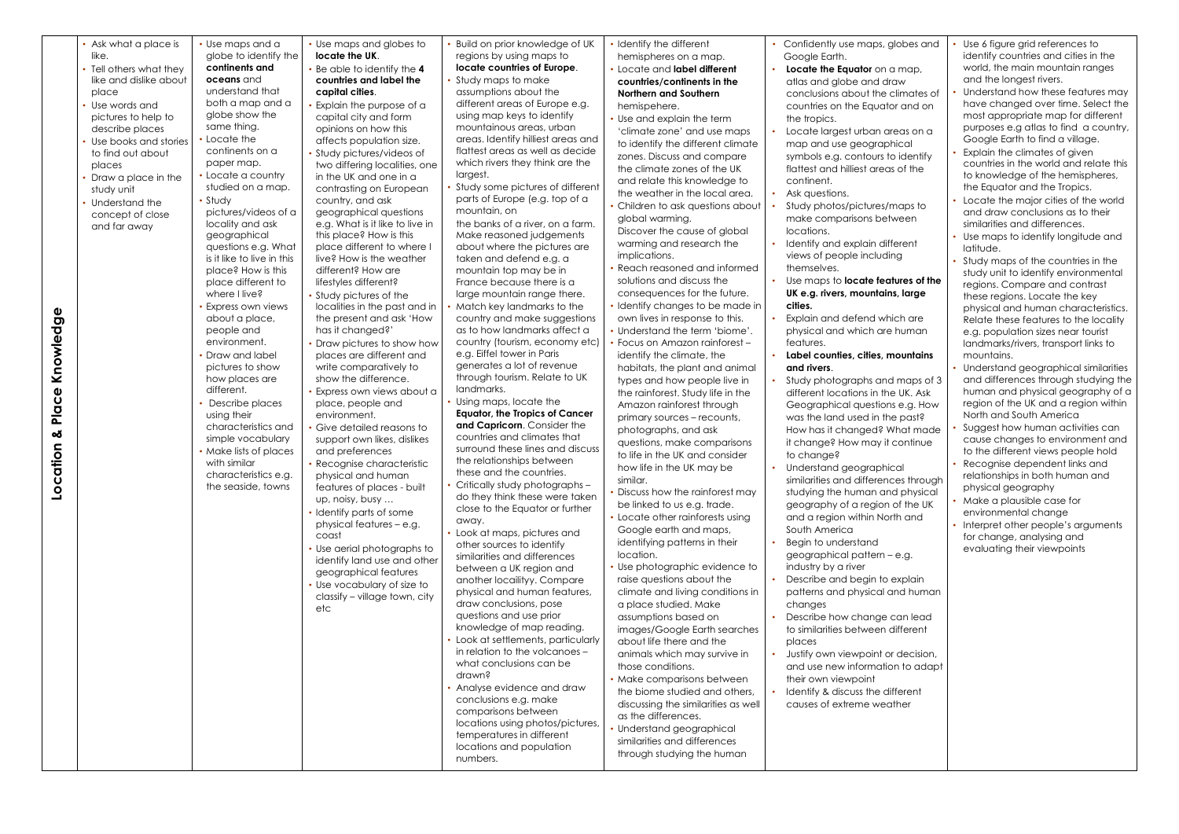| like.<br>place<br>Use words and<br>describe places<br>to find out about<br>places<br>study unit<br>Understand the<br>and far away<br>Φ<br><b>්</b><br>ਹ<br>Knowle<br>$\pmb{\omega}$<br>$\bar{O}$<br>$\frac{\overline{a}}{a}$<br>ఱ<br>ation<br><u>o</u> | Tell others what they<br>like and dislike about<br>pictures to help to<br>Use books and stories<br>Draw a place in the<br>concept of close | globe to identify the<br>continents and<br><b>oceans</b> and<br>understand that<br>both a map and a<br>globe show the<br>same thing.<br>Locate the<br>continents on a<br>paper map.<br>• Locate a country<br>studied on a map.<br>• Study<br>pictures/videos of a<br>locality and ask<br>geographical<br>questions e.g. What<br>is it like to live in this<br>place? How is this<br>place different to<br>where I live?<br>Express own views<br>about a place,<br>people and<br>environment.<br>Draw and label<br>pictures to show<br>how places are<br>different.<br>Describe places<br>using their<br>characteristics and<br>simple vocabulary<br>. Make lists of places<br>with similar<br>characteristics e.g.<br>the seaside, towns | locate the UK.<br>Be able to identify the 4<br>countries and label the<br>capital cities.<br>Explain the purpose of a<br>capital city and form<br>opinions on how this<br>affects population size.<br>Study pictures/videos of<br>two differing localities, one<br>in the UK and one in a<br>contrasting on European<br>country, and ask<br>geographical questions<br>e.g. What is it like to live in<br>this place? How is this<br>place different to where I<br>live? How is the weather<br>different? How are<br>lifestyles different?<br>Study pictures of the<br>localities in the past and in<br>the present and ask 'How<br>has it changed?'<br>Draw pictures to show how<br>places are different and<br>write comparatively to<br>show the difference.<br>Express own views about a<br>place, people and<br>environment.<br>Give detailed reasons to<br>support own likes, dislikes<br>and preferences<br>· Recognise characteristic<br>physical and human<br>features of places - built<br>up, noisy, busy<br>Identify parts of some<br>physical features - e.g.<br>coast<br>Use aerial photographs to<br>identify land use and other<br>geographical features<br>Use vocabulary of size to<br>classify - village town, city<br>etc | regions by using maps to<br>locate countries of Europe.<br>Study maps to make<br>assumptions about the<br>different areas of Europe e.g.<br>using map keys to identify<br>mountainous areas, urban<br>areas. Identify hilliest areas and<br>flattest areas as well as decide<br>which rivers they think are the<br>largest.<br>Study some pictures of different<br>parts of Europe (e.g. top of a<br>mountain, on<br>the banks of a river, on a farm.<br>Make reasoned judgements<br>about where the pictures are<br>taken and defend e.g. a<br>mountain top may be in<br>France because there is a<br>large mountain range there.<br>Match key landmarks to the<br>country and make suggestions<br>as to how landmarks affect a<br>country (tourism, economy etc)<br>e.g. Eiffel tower in Paris<br>generates a lot of revenue<br>through tourism. Relate to UK<br>landmarks.<br>Using maps, locate the<br><b>Equator, the Tropics of Cancer</b><br>and Capricorn. Consider the<br>countries and climates that<br>surround these lines and discuss<br>the relationships between<br>these and the countries.<br>• Critically study photographs -<br>do they think these were taken<br>close to the Equator or further<br>away.<br>• Look at maps, pictures and<br>other sources to identify<br>similarities and differences<br>between a UK region and<br>another locailityy. Compare<br>physical and human features,<br>draw conclusions, pose | hemispheres on a map.<br>• Locate and label different<br>countries/continents in the<br><b>Northern and Southern</b><br>hemispehere.<br>• Use and explain the term<br>'climate zone' and use maps<br>to identify the different climate<br>zones. Discuss and compare<br>the climate zones of the UK<br>and relate this knowledge to<br>the weather in the local area.<br>Children to ask questions about<br>global warming.<br>Discover the cause of global<br>warming and research the<br>implications.<br>• Reach reasoned and informed<br>solutions and discuss the<br>consequences for the future.<br>• Identify changes to be made in<br>own lives in response to this.<br>• Understand the term 'biome'.<br>Focus on Amazon rainforest -<br>identify the climate, the<br>habitats, the plant and animal<br>types and how people live in<br>the rainforest. Study life in the<br>Amazon rainforest through<br>primary sources - recounts,<br>photographs, and ask<br>questions, make comparisons<br>to life in the UK and consider<br>how life in the UK may be<br>similar.<br>Discuss how the rainforest may<br>be linked to us e.g. trade.<br>• Locate other rainforests using<br>Google earth and maps,<br>identifying patterns in their<br>location.<br>• Use photographic evidence to<br>raise questions about the<br>climate and living conditions in<br>a place studied. Make | Google Earth.<br>Locate the Equator on a map,<br>atlas and globe and draw<br>conclusions about the climates of<br>countries on the Equator and on<br>the tropics.<br>Locate largest urban areas on a<br>map and use geographical<br>symbols e.g. contours to identify<br>flattest and hilliest areas of the<br>continent.<br>Ask questions.<br>Study photos/pictures/maps to<br>make comparisons between<br>locations.<br>Identify and explain different<br>views of people including<br>themselves.<br>Use maps to <b>locate features of the</b><br>UK e.g. rivers, mountains, large<br>cities.<br>Explain and defend which are<br>physical and which are human<br>features.<br>Label counties, cities, mountains<br>and rivers.<br>Study photographs and maps of 3<br>different locations in the UK. Ask<br>Geographical questions e.g. How<br>was the land used in the past?<br>How has it changed? What made<br>it change? How may it continue<br>to change?<br>Understand geographical<br>similarities and differences through<br>studying the human and physical<br>geography of a region of the UK<br>and a region within North and<br>South America<br>Begin to understand<br>geographical pattern - e.g.<br>industry by a river<br>Describe and begin to explain<br>patterns and physical and human<br>changes | identify countries and cities in the<br>world, the main mountain ranges<br>and the longest rivers.<br>Understand how these features may<br>have changed over time. Select the<br>most appropriate map for different<br>purposes e.g atlas to find a country,<br>Google Earth to find a village.<br>Explain the climates of given<br>countries in the world and relate this<br>to knowledge of the hemispheres,<br>the Equator and the Tropics.<br>Locate the major cities of the world<br>and draw conclusions as to their<br>similarities and differences.<br>Use maps to identify longitude and<br>latitude.<br>Study maps of the countries in the<br>study unit to identify environmental<br>regions. Compare and contrast<br>these regions. Locate the key<br>physical and human characteristics.<br>Relate these features to the locality<br>e.g. population sizes near tourist<br>landmarks/rivers, transport links to<br>mountains.<br>Understand geographical similarities<br>and differences through studying the<br>human and physical geography of a<br>region of the UK and a region within<br>North and South America<br>Suggest how human activities can<br>cause changes to environment and<br>to the different views people hold<br>Recognise dependent links and<br>relationships in both human and<br>physical geography<br>Make a plausible case for<br>environmental change<br>Interpret other people's arguments<br>for change, analysing and<br>evaluating their viewpoints |
|--------------------------------------------------------------------------------------------------------------------------------------------------------------------------------------------------------------------------------------------------------|--------------------------------------------------------------------------------------------------------------------------------------------|------------------------------------------------------------------------------------------------------------------------------------------------------------------------------------------------------------------------------------------------------------------------------------------------------------------------------------------------------------------------------------------------------------------------------------------------------------------------------------------------------------------------------------------------------------------------------------------------------------------------------------------------------------------------------------------------------------------------------------------|----------------------------------------------------------------------------------------------------------------------------------------------------------------------------------------------------------------------------------------------------------------------------------------------------------------------------------------------------------------------------------------------------------------------------------------------------------------------------------------------------------------------------------------------------------------------------------------------------------------------------------------------------------------------------------------------------------------------------------------------------------------------------------------------------------------------------------------------------------------------------------------------------------------------------------------------------------------------------------------------------------------------------------------------------------------------------------------------------------------------------------------------------------------------------------------------------------------------------------------------|------------------------------------------------------------------------------------------------------------------------------------------------------------------------------------------------------------------------------------------------------------------------------------------------------------------------------------------------------------------------------------------------------------------------------------------------------------------------------------------------------------------------------------------------------------------------------------------------------------------------------------------------------------------------------------------------------------------------------------------------------------------------------------------------------------------------------------------------------------------------------------------------------------------------------------------------------------------------------------------------------------------------------------------------------------------------------------------------------------------------------------------------------------------------------------------------------------------------------------------------------------------------------------------------------------------------------------------------------------------------------------------------------------------------------------------------|-------------------------------------------------------------------------------------------------------------------------------------------------------------------------------------------------------------------------------------------------------------------------------------------------------------------------------------------------------------------------------------------------------------------------------------------------------------------------------------------------------------------------------------------------------------------------------------------------------------------------------------------------------------------------------------------------------------------------------------------------------------------------------------------------------------------------------------------------------------------------------------------------------------------------------------------------------------------------------------------------------------------------------------------------------------------------------------------------------------------------------------------------------------------------------------------------------------------------------------------------------------------------------------------------------------------------------------------------------------------------------------------|-------------------------------------------------------------------------------------------------------------------------------------------------------------------------------------------------------------------------------------------------------------------------------------------------------------------------------------------------------------------------------------------------------------------------------------------------------------------------------------------------------------------------------------------------------------------------------------------------------------------------------------------------------------------------------------------------------------------------------------------------------------------------------------------------------------------------------------------------------------------------------------------------------------------------------------------------------------------------------------------------------------------------------------------------------------------------------------------------------------------------------------------------------------------------------------------------------------------------------------------------------------------------------------------------------------------------|---------------------------------------------------------------------------------------------------------------------------------------------------------------------------------------------------------------------------------------------------------------------------------------------------------------------------------------------------------------------------------------------------------------------------------------------------------------------------------------------------------------------------------------------------------------------------------------------------------------------------------------------------------------------------------------------------------------------------------------------------------------------------------------------------------------------------------------------------------------------------------------------------------------------------------------------------------------------------------------------------------------------------------------------------------------------------------------------------------------------------------------------------------------------------------------------------------------------------------------------------------------------------------------------------------------------------------------------------------------------------------------------------------------------------------------------------------------------------------------------------|
|--------------------------------------------------------------------------------------------------------------------------------------------------------------------------------------------------------------------------------------------------------|--------------------------------------------------------------------------------------------------------------------------------------------|------------------------------------------------------------------------------------------------------------------------------------------------------------------------------------------------------------------------------------------------------------------------------------------------------------------------------------------------------------------------------------------------------------------------------------------------------------------------------------------------------------------------------------------------------------------------------------------------------------------------------------------------------------------------------------------------------------------------------------------|----------------------------------------------------------------------------------------------------------------------------------------------------------------------------------------------------------------------------------------------------------------------------------------------------------------------------------------------------------------------------------------------------------------------------------------------------------------------------------------------------------------------------------------------------------------------------------------------------------------------------------------------------------------------------------------------------------------------------------------------------------------------------------------------------------------------------------------------------------------------------------------------------------------------------------------------------------------------------------------------------------------------------------------------------------------------------------------------------------------------------------------------------------------------------------------------------------------------------------------------|------------------------------------------------------------------------------------------------------------------------------------------------------------------------------------------------------------------------------------------------------------------------------------------------------------------------------------------------------------------------------------------------------------------------------------------------------------------------------------------------------------------------------------------------------------------------------------------------------------------------------------------------------------------------------------------------------------------------------------------------------------------------------------------------------------------------------------------------------------------------------------------------------------------------------------------------------------------------------------------------------------------------------------------------------------------------------------------------------------------------------------------------------------------------------------------------------------------------------------------------------------------------------------------------------------------------------------------------------------------------------------------------------------------------------------------------|-------------------------------------------------------------------------------------------------------------------------------------------------------------------------------------------------------------------------------------------------------------------------------------------------------------------------------------------------------------------------------------------------------------------------------------------------------------------------------------------------------------------------------------------------------------------------------------------------------------------------------------------------------------------------------------------------------------------------------------------------------------------------------------------------------------------------------------------------------------------------------------------------------------------------------------------------------------------------------------------------------------------------------------------------------------------------------------------------------------------------------------------------------------------------------------------------------------------------------------------------------------------------------------------------------------------------------------------------------------------------------------------|-------------------------------------------------------------------------------------------------------------------------------------------------------------------------------------------------------------------------------------------------------------------------------------------------------------------------------------------------------------------------------------------------------------------------------------------------------------------------------------------------------------------------------------------------------------------------------------------------------------------------------------------------------------------------------------------------------------------------------------------------------------------------------------------------------------------------------------------------------------------------------------------------------------------------------------------------------------------------------------------------------------------------------------------------------------------------------------------------------------------------------------------------------------------------------------------------------------------------------------------------------------------------------------------------------------------------|---------------------------------------------------------------------------------------------------------------------------------------------------------------------------------------------------------------------------------------------------------------------------------------------------------------------------------------------------------------------------------------------------------------------------------------------------------------------------------------------------------------------------------------------------------------------------------------------------------------------------------------------------------------------------------------------------------------------------------------------------------------------------------------------------------------------------------------------------------------------------------------------------------------------------------------------------------------------------------------------------------------------------------------------------------------------------------------------------------------------------------------------------------------------------------------------------------------------------------------------------------------------------------------------------------------------------------------------------------------------------------------------------------------------------------------------------------------------------------------------------|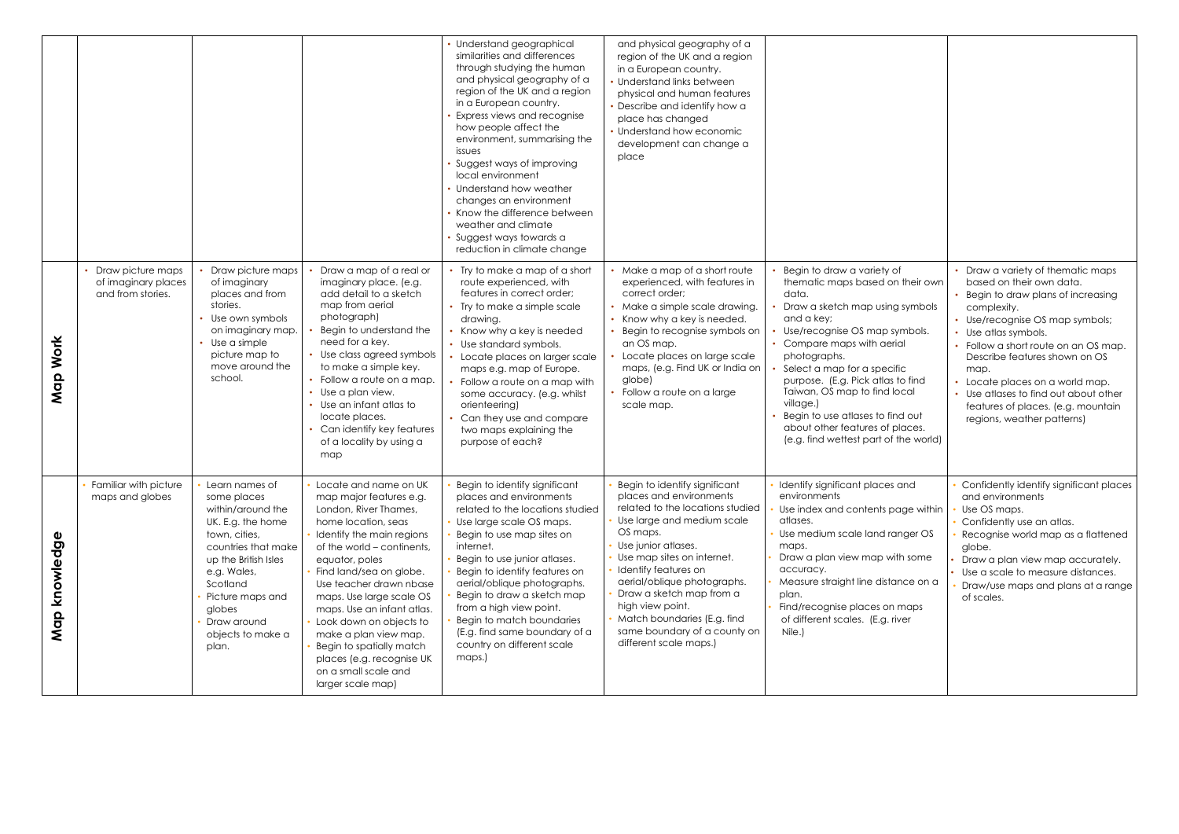|                  |                                                               |                                                                                                                                                                                                                                               |                                                                                                                                                                                                                                                                                                                                                                                                                                                         | • Understand geographical<br>similarities and differences<br>through studying the human<br>and physical geography of a<br>region of the UK and a region<br>in a European country.<br>Express views and recognise<br>how people affect the<br>environment, summarising the<br>issues<br>Suggest ways of improving<br>local environment<br>Understand how weather<br>changes an environment<br>Know the difference between<br>weather and climate<br>Suggest ways towards a<br>reduction in climate change | and physical geography of a<br>region of the UK and a region<br>in a European country.<br>• Understand links between<br>physical and human features<br>• Describe and identify how a<br>place has changed<br>• Understand how economic<br>development can change a<br>place                                                                                                                 |                                                                                                                                                                                                                                                                                                                                                                                                                                        |                                                                                                                                                                                                                                                                                                                                                                                                             |
|------------------|---------------------------------------------------------------|-----------------------------------------------------------------------------------------------------------------------------------------------------------------------------------------------------------------------------------------------|---------------------------------------------------------------------------------------------------------------------------------------------------------------------------------------------------------------------------------------------------------------------------------------------------------------------------------------------------------------------------------------------------------------------------------------------------------|----------------------------------------------------------------------------------------------------------------------------------------------------------------------------------------------------------------------------------------------------------------------------------------------------------------------------------------------------------------------------------------------------------------------------------------------------------------------------------------------------------|---------------------------------------------------------------------------------------------------------------------------------------------------------------------------------------------------------------------------------------------------------------------------------------------------------------------------------------------------------------------------------------------|----------------------------------------------------------------------------------------------------------------------------------------------------------------------------------------------------------------------------------------------------------------------------------------------------------------------------------------------------------------------------------------------------------------------------------------|-------------------------------------------------------------------------------------------------------------------------------------------------------------------------------------------------------------------------------------------------------------------------------------------------------------------------------------------------------------------------------------------------------------|
| Work<br>Map      | Draw picture maps<br>of imaginary places<br>and from stories. | Draw picture maps<br>of imaginary<br>places and from<br>stories.<br>Use own symbols<br>on imaginary map.<br>Use a simple<br>picture map to<br>move around the<br>school.                                                                      | Draw a map of a real or<br>imaginary place. (e.g.<br>add detail to a sketch<br>map from aerial<br>photograph)<br>Begin to understand the<br>need for a key.<br>• Use class agreed symbols<br>to make a simple key.<br>• Follow a route on a map.<br>• Use a plan view.<br>• Use an infant atlas to<br>locate places.<br>Can identify key features<br>of a locality by using a<br>map                                                                    | • Try to make a map of a short<br>route experienced, with<br>features in correct order;<br>• Try to make a simple scale<br>drawing.<br>Know why a key is needed<br>• Use standard symbols.<br>Locate places on larger scale<br>maps e.g. map of Europe.<br>Follow a route on a map with<br>some accuracy. (e.g. whilst<br>orienteering)<br>• Can they use and compare<br>two maps explaining the<br>purpose of each?                                                                                     | • Make a map of a short route<br>experienced, with features in<br>correct order;<br>• Make a simple scale drawing.<br>Know why a key is needed.<br>Begin to recognise symbols on<br>an OS map.<br>Locate places on large scale<br>maps, (e.g. Find UK or India on<br>globe)<br>Follow a route on a large<br>scale map.                                                                      | Begin to draw a variety of<br>thematic maps based on their own<br>data.<br>Draw a sketch map using symbols<br>and a key;<br>Use/recognise OS map symbols.<br>Compare maps with aerial<br>photographs.<br>Select a map for a specific<br>purpose. (E.g. Pick atlas to find<br>Taiwan, OS map to find local<br>village.)<br>Begin to use atlases to find out<br>about other features of places.<br>(e.g. find wettest part of the world) | • Draw a variety of thematic maps<br>based on their own data.<br>Begin to draw plans of increasing<br>complexity.<br>• Use/recognise OS map symbols;<br>Use atlas symbols.<br>• Follow a short route on an OS map.<br>Describe features shown on OS<br>map.<br>• Locate places on a world map.<br>• Use atlases to find out about other<br>features of places. (e.g. mountain<br>regions, weather patterns) |
| knowledge<br>Map | Familiar with picture<br>maps and globes                      | Learn names of<br>some places<br>within/around the<br>UK. E.g. the home<br>town, cities,<br>countries that make<br>up the British Isles<br>e.g. Wales,<br>Scotland<br>Picture maps and<br>globes<br>Draw around<br>objects to make a<br>plan. | Locate and name on UK<br>map major features e.g.<br>London, River Thames,<br>home location, seas<br>Identify the main regions<br>of the world – continents,<br>equator, poles<br>Find land/sea on globe.<br>Use teacher drawn nbase<br>maps. Use large scale OS<br>maps. Use an infant atlas.<br>Look down on objects to<br>make a plan view map.<br>Begin to spatially match<br>places (e.g. recognise UK<br>on a small scale and<br>larger scale map) | Begin to identify significant<br>places and environments<br>related to the locations studied<br>Use large scale OS maps.<br>Begin to use map sites on<br>internet.<br>Begin to use junior atlases.<br>Begin to identify features on<br>aerial/oblique photographs.<br>Begin to draw a sketch map<br>from a high view point.<br>Begin to match boundaries<br>(E.g. find same boundary of a<br>country on different scale<br>maps.)                                                                        | Begin to identify significant<br>places and environments<br>related to the locations studied<br>Use large and medium scale<br>OS maps.<br>Use junior atlases.<br>Use map sites on internet.<br>Identify features on<br>aerial/oblique photographs.<br>Draw a sketch map from a<br>high view point.<br>Match boundaries (E.g. find<br>same boundary of a county on<br>different scale maps.) | Identify significant places and<br>environments<br>Use index and contents page within<br>atlases.<br>Use medium scale land ranger OS<br>maps.<br>Draw a plan view map with some<br>accuracy.<br>Measure straight line distance on a<br>plan.<br>Find/recognise places on maps<br>of different scales. (E.g. river<br>Nile.)                                                                                                            | Confidently identify significant places<br>and environments<br>Use OS maps.<br>Confidently use an atlas.<br>Recognise world map as a flattened<br>globe.<br>Draw a plan view map accurately.<br>Use a scale to measure distances.<br>Draw/use maps and plans at a range<br>of scales.                                                                                                                       |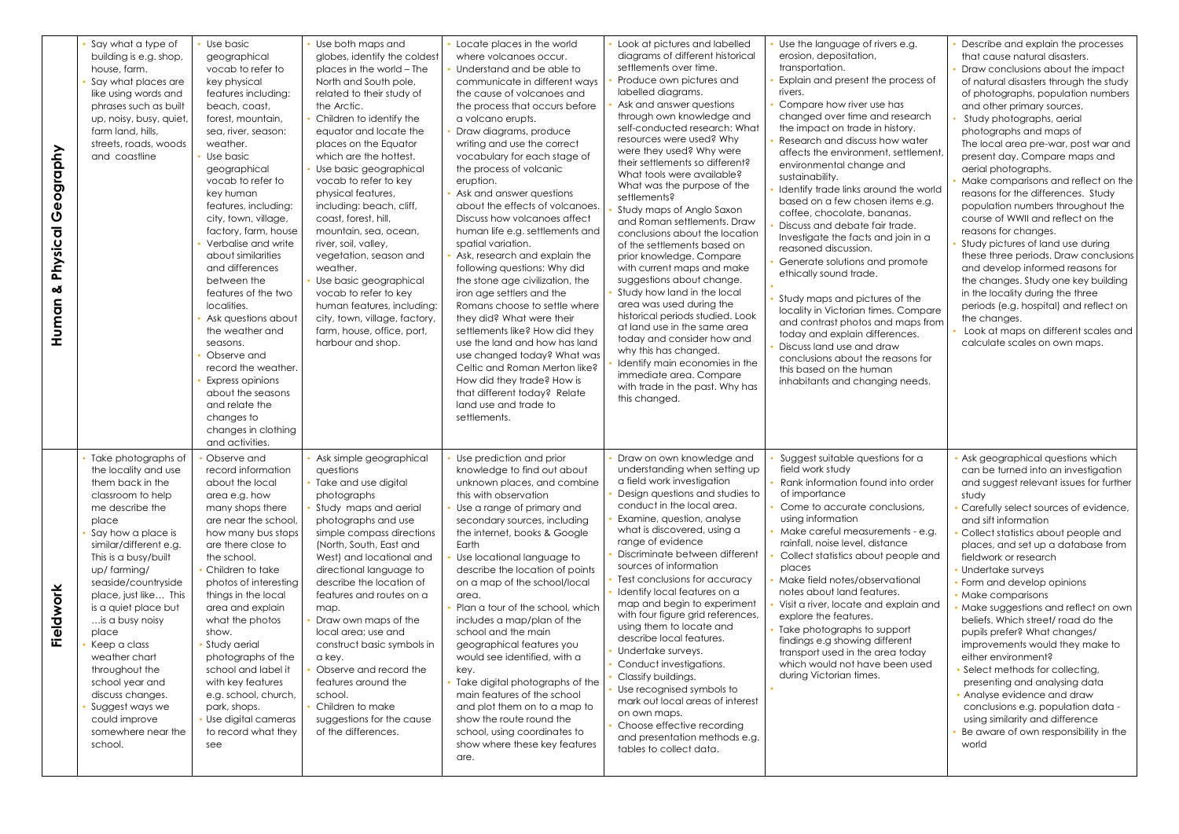| eography<br>り<br>$\overline{\sigma}$<br>Physico<br>ఱ<br>Human | Say what a type of<br>building is e.g. shop,<br>house, farm.<br>Say what places are<br>like using words and<br>phrases such as built<br>up, noisy, busy, quiet,<br>farm land, hills,<br>streets, roads, woods<br>and coastline                                                                                                                                                                                                                                             | Use basic<br>geographical<br>vocab to refer to<br>key physical<br>features including:<br>beach, coast,<br>forest, mountain,<br>sea, river, season:<br>weather.<br>Use basic<br>geographical<br>vocab to refer to<br>key human<br>features, including:<br>city, town, village,<br>factory, farm, house<br>Verbalise and write<br>about similarities<br>and differences<br>between the<br>features of the two<br>localities.<br>Ask questions about<br>the weather and<br>seasons.<br>Observe and<br>record the weather.<br>Express opinions<br>about the seasons<br>and relate the<br>changes to<br>changes in clothing<br>and activities. | Use both maps and<br>globes, identify the coldest<br>places in the world - The<br>North and South pole,<br>related to their study of<br>the Arctic.<br>Children to identify the<br>equator and locate the<br>places on the Equator<br>which are the hottest.<br>Use basic geographical<br>vocab to refer to key<br>physical features,<br>including: beach, cliff,<br>coast, forest, hill,<br>mountain, sea, ocean,<br>river, soil, valley,<br>vegetation, season and<br>weather.<br>Use basic geographical<br>vocab to refer to key<br>human features, including:<br>city, town, village, factory,<br>farm, house, office, port,<br>harbour and shop. | Locate places in the world<br>where volcanoes occur.<br>Understand and be able to<br>communicate in different ways<br>the cause of volcanoes and<br>the process that occurs before<br>a volcano erupts.<br>Draw diagrams, produce<br>writing and use the correct<br>vocabulary for each stage of<br>the process of volcanic<br>eruption.<br>Ask and answer questions<br>about the effects of volcanoes.<br>Discuss how volcanoes affect<br>human life e.g. settlements and<br>spatial variation.<br>Ask, research and explain the<br>following questions: Why did<br>the stone age civilization, the<br>iron age settlers and the<br>Romans choose to settle where<br>they did? What were their<br>settlements like? How did they<br>use the land and how has land<br>use changed today? What was<br>Celtic and Roman Merton like?<br>How did they trade? How is<br>that different today? Relate<br>land use and trade to<br>settlements. | Look at pictures and labelled<br>diagrams of different historical<br>settlements over time.<br>Produce own pictures and<br>labelled diagrams.<br>Ask and answer questions<br>through own knowledge and<br>self-conducted research: What<br>resources were used? Why<br>were they used? Why were<br>their settlements so different?<br>What tools were available?<br>What was the purpose of the<br>settlements?<br>Study maps of Anglo Saxon<br>and Roman settlements. Draw<br>conclusions about the location<br>of the settlements based on<br>prior knowledge. Compare<br>with current maps and make<br>suggestions about change.<br>Study how land in the local<br>area was used during the<br>historical periods studied. Look<br>at land use in the same area<br>today and consider how and<br>why this has changed.<br>Identify main economies in the<br>immediate area. Compare<br>with trade in the past. Why has<br>this changed. | Use the language of rivers e.g.<br>erosion, depositation,<br>transportation.<br>Explain and present the process of<br>rivers.<br>Compare how river use has<br>changed over time and research<br>the impact on trade in history.<br>Research and discuss how water<br>affects the environment, settlement,<br>environmental change and<br>sustainability.<br>Identify trade links around the world<br>based on a few chosen items e.g.<br>coffee, chocolate, bananas.<br>Discuss and debate fair trade.<br>Investigate the facts and join in a<br>reasoned discussion.<br>Generate solutions and promote<br>ethically sound trade.<br>Study maps and pictures of the<br>locality in Victorian times. Compare<br>and contrast photos and maps from<br>today and explain differences.<br>Discuss land use and draw<br>conclusions about the reasons for<br>this based on the human<br>inhabitants and changing needs. | Describe and explain the processes<br>that cause natural disasters.<br>Draw conclusions about the impact<br>of natural disasters through the study<br>of photographs, population numbers<br>and other primary sources.<br>Study photographs, aerial<br>photographs and maps of<br>The local area pre-war, post war and<br>present day. Compare maps and<br>aerial photographs.<br>Make comparisons and reflect on the<br>reasons for the differences. Study<br>population numbers throughout the<br>course of WWII and reflect on the<br>reasons for changes.<br>Study pictures of land use during<br>these three periods. Draw conclusions<br>and develop informed reasons for<br>the changes. Study one key building<br>in the locality during the three<br>periods (e.g. hospital) and reflect on<br>the changes.<br>Look at maps on different scales and<br>calculate scales on own maps. |
|---------------------------------------------------------------|----------------------------------------------------------------------------------------------------------------------------------------------------------------------------------------------------------------------------------------------------------------------------------------------------------------------------------------------------------------------------------------------------------------------------------------------------------------------------|-------------------------------------------------------------------------------------------------------------------------------------------------------------------------------------------------------------------------------------------------------------------------------------------------------------------------------------------------------------------------------------------------------------------------------------------------------------------------------------------------------------------------------------------------------------------------------------------------------------------------------------------|-------------------------------------------------------------------------------------------------------------------------------------------------------------------------------------------------------------------------------------------------------------------------------------------------------------------------------------------------------------------------------------------------------------------------------------------------------------------------------------------------------------------------------------------------------------------------------------------------------------------------------------------------------|-------------------------------------------------------------------------------------------------------------------------------------------------------------------------------------------------------------------------------------------------------------------------------------------------------------------------------------------------------------------------------------------------------------------------------------------------------------------------------------------------------------------------------------------------------------------------------------------------------------------------------------------------------------------------------------------------------------------------------------------------------------------------------------------------------------------------------------------------------------------------------------------------------------------------------------------|--------------------------------------------------------------------------------------------------------------------------------------------------------------------------------------------------------------------------------------------------------------------------------------------------------------------------------------------------------------------------------------------------------------------------------------------------------------------------------------------------------------------------------------------------------------------------------------------------------------------------------------------------------------------------------------------------------------------------------------------------------------------------------------------------------------------------------------------------------------------------------------------------------------------------------------------|--------------------------------------------------------------------------------------------------------------------------------------------------------------------------------------------------------------------------------------------------------------------------------------------------------------------------------------------------------------------------------------------------------------------------------------------------------------------------------------------------------------------------------------------------------------------------------------------------------------------------------------------------------------------------------------------------------------------------------------------------------------------------------------------------------------------------------------------------------------------------------------------------------------------|-----------------------------------------------------------------------------------------------------------------------------------------------------------------------------------------------------------------------------------------------------------------------------------------------------------------------------------------------------------------------------------------------------------------------------------------------------------------------------------------------------------------------------------------------------------------------------------------------------------------------------------------------------------------------------------------------------------------------------------------------------------------------------------------------------------------------------------------------------------------------------------------------|
| ork<br>≽<br>خ<br>@<br>亡                                       | Take photographs of<br>the locality and use<br>them back in the<br>classroom to help<br>me describe the<br>place<br>Say how a place is<br>similar/different e.g.<br>This is a busy/built<br>up/farming/<br>seaside/countryside<br>place, just like This<br>is a quiet place but<br>is a busy noisy<br>place<br>Keep a class<br>weather chart<br>throughout the<br>school year and<br>discuss changes.<br>Suggest ways we<br>could improve<br>somewhere near the<br>school. | Observe and<br>record information<br>about the local<br>area e.g. how<br>many shops there<br>are near the school,<br>how many bus stops<br>are there close to<br>the school.<br>Children to take<br>photos of interesting<br>things in the local<br>area and explain<br>what the photos<br>show.<br>Study aerial<br>photographs of the<br>school and label it<br>with key features<br>e.g. school, church,<br>park, shops.<br>Use digital cameras<br>to record what they<br>see                                                                                                                                                           | Ask simple geographical<br>questions<br>Take and use digital<br>photographs<br>Study maps and aerial<br>photographs and use<br>simple compass directions<br>(North, South, East and<br>West) and locational and<br>directional language to<br>describe the location of<br>features and routes on a<br>map.<br>Draw own maps of the<br>local area; use and<br>construct basic symbols in<br>a key.<br>Observe and record the<br>features around the<br>school.<br>Children to make<br>suggestions for the cause<br>of the differences.                                                                                                                 | Use prediction and prior<br>knowledge to find out about<br>unknown places, and combine<br>this with observation<br>Use a range of primary and<br>secondary sources, including<br>the internet, books & Google<br>Earth<br>Use locational language to<br>describe the location of points<br>on a map of the school/local<br>area.<br>Plan a tour of the school, which<br>includes a map/plan of the<br>school and the main<br>geographical features you<br>would see identified, with a<br>key.<br>Take digital photographs of the<br>main features of the school<br>and plot them on to a map to<br>show the route round the<br>school, using coordinates to<br>show where these key features<br>are.                                                                                                                                                                                                                                     | Draw on own knowledge and<br>understanding when setting up<br>a field work investigation<br>Design questions and studies to<br>conduct in the local area.<br>Examine, question, analyse<br>what is discovered, using a<br>range of evidence<br>Discriminate between different<br>sources of information<br>Test conclusions for accuracy<br>Identify local features on a<br>map and begin to experiment<br>with four figure grid references,<br>using them to locate and<br>describe local features.<br>Undertake surveys.<br>Conduct investigations.<br>Classify buildings.<br>Use recognised symbols to<br>mark out local areas of interest<br>on own maps.<br>Choose effective recording<br>and presentation methods e.g.<br>tables to collect data.                                                                                                                                                                                    | Suggest suitable questions for a<br>field work study<br>Rank information found into order<br>of importance<br>Come to accurate conclusions,<br>using information<br>Make careful measurements - e.g.<br>rainfall, noise level, distance<br>Collect statistics about people and<br>places<br>Make field notes/observational<br>notes about land features.<br>Visit a river, locate and explain and<br>explore the features.<br>Take photographs to support<br>findings e.g showing different<br>transport used in the area today<br>which would not have been used<br>during Victorian times.                                                                                                                                                                                                                                                                                                                       | Ask geographical questions which<br>can be turned into an investigation<br>and suggest relevant issues for further<br>study<br>Carefully select sources of evidence,<br>and sift information<br>Collect statistics about people and<br>places, and set up a database from<br>fieldwork or research<br>Undertake surveys<br>Form and develop opinions<br><b>Make comparisons</b><br>Make suggestions and reflect on own<br>beliefs. Which street/road do the<br>pupils prefer? What changes/<br>improvements would they make to<br>either environment?<br>Select methods for collecting,<br>presenting and analysing data<br>• Analyse evidence and draw<br>conclusions e.g. population data -<br>using similarity and difference<br>Be aware of own responsibility in the<br>world                                                                                                            |